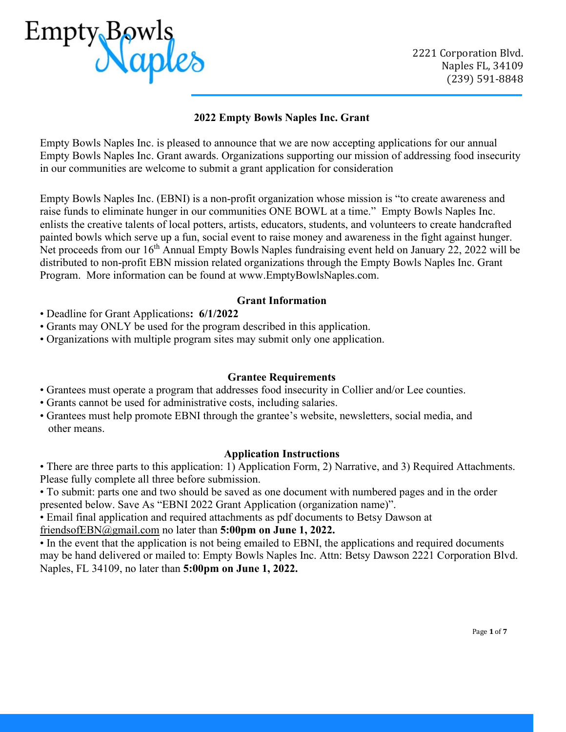

# **2022 Empty Bowls Naples Inc. Grant**

Empty Bowls Naples Inc. is pleased to announce that we are now accepting applications for our annual Empty Bowls Naples Inc. Grant awards. Organizations supporting our mission of addressing food insecurity in our communities are welcome to submit a grant application for consideration

Empty Bowls Naples Inc. (EBNI) is a non-profit organization whose mission is "to create awareness and raise funds to eliminate hunger in our communities ONE BOWL at a time." Empty Bowls Naples Inc. enlists the creative talents of local potters, artists, educators, students, and volunteers to create handcrafted painted bowls which serve up a fun, social event to raise money and awareness in the fight against hunger. Net proceeds from our 16<sup>th</sup> Annual Empty Bowls Naples fundraising event held on January 22, 2022 will be distributed to non-profit EBN mission related organizations through the Empty Bowls Naples Inc. Grant Program. More information can be found at www.EmptyBowlsNaples.com.

### **Grant Information**

- Deadline for Grant Applications**: 6/1/2022**
- Grants may ONLY be used for the program described in this application.
- Organizations with multiple program sites may submit only one application.

#### **Grantee Requirements**

- Grantees must operate a program that addresses food insecurity in Collier and/or Lee counties.
- Grants cannot be used for administrative costs, including salaries.
- Grantees must help promote EBNI through the grantee's website, newsletters, social media, and other means.

## **Application Instructions**

- There are three parts to this application: 1) Application Form, 2) Narrative, and 3) Required Attachments. Please fully complete all three before submission.
- To submit: parts one and two should be saved as one document with numbered pages and in the order presented below. Save As "EBNI 2022 Grant Application (organization name)".
- Email final application and required attachments as pdf documents to Betsy Dawson at

# friendsofEBN@gmail.com no later than **5:00pm on June 1, 2022.**

• In the event that the application is not being emailed to EBNI, the applications and required documents may be hand delivered or mailed to: Empty Bowls Naples Inc. Attn: Betsy Dawson 2221 Corporation Blvd. Naples, FL 34109, no later than **5:00pm on June 1, 2022.**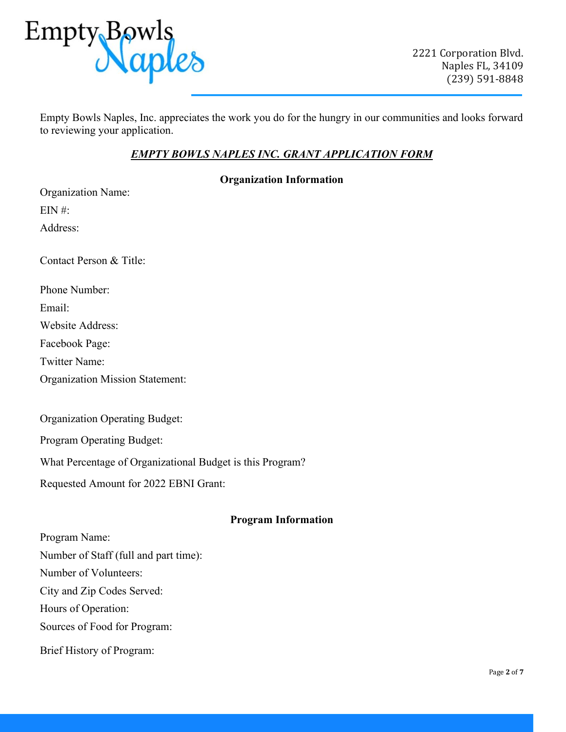

Empty Bowls Naples, Inc. appreciates the work you do for the hungry in our communities and looks forward to reviewing your application.

# *EMPTY BOWLS NAPLES INC. GRANT APPLICATION FORM*

## **Organization Information**

Organization Name:

 $EIN$ #:

Address:

Contact Person & Title:

Phone Number:

Email:

Website Address:

Facebook Page:

Twitter Name:

Organization Mission Statement:

Organization Operating Budget:

Program Operating Budget:

What Percentage of Organizational Budget is this Program?

Requested Amount for 2022 EBNI Grant:

## **Program Information**

Program Name:

Number of Staff (full and part time):

Number of Volunteers:

City and Zip Codes Served:

Hours of Operation:

Sources of Food for Program:

Brief History of Program: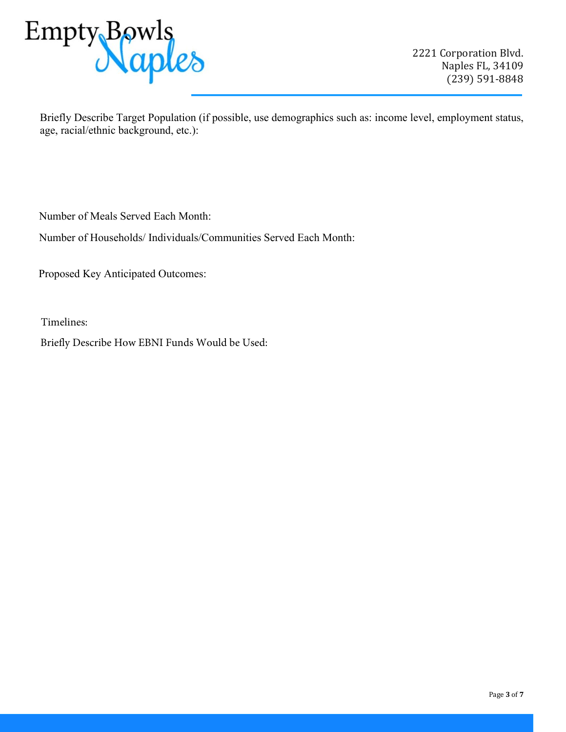

Briefly Describe Target Population (if possible, use demographics such as: income level, employment status, age, racial/ethnic background, etc.):

Number of Meals Served Each Month:

Number of Households/ Individuals/Communities Served Each Month:

Proposed Key Anticipated Outcomes:

Timelines:

Briefly Describe How EBNI Funds Would be Used: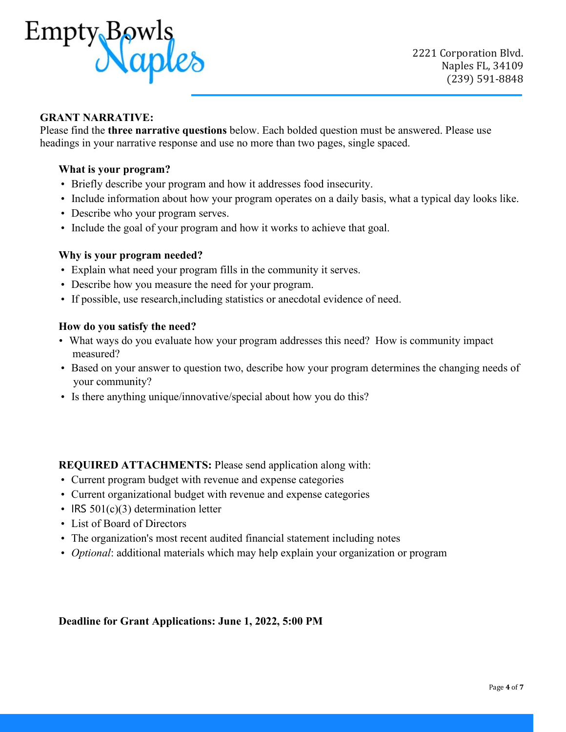

# **GRANT NARRATIVE:**

Please find the **three narrative questions** below. Each bolded question must be answered. Please use headings in your narrative response and use no more than two pages, single spaced.

### **What is your program?**

- Briefly describe your program and how it addresses food insecurity.
- Include information about how your program operates on a daily basis, what a typical day looks like.
- Describe who your program serves.
- Include the goal of your program and how it works to achieve that goal.

#### **Why is your program needed?**

- Explain what need your program fills in the community it serves.
- Describe how you measure the need for your program.
- If possible, use research,including statistics or anecdotal evidence of need.

#### **How do you satisfy the need?**

- What ways do you evaluate how your program addresses this need? How is community impact measured?
- Based on your answer to question two, describe how your program determines the changing needs of your community?
- Is there anything unique/innovative/special about how you do this?

**REQUIRED ATTACHMENTS:** Please send application along with:

- Current program budget with revenue and expense categories
- Current organizational budget with revenue and expense categories
- IRS 501(c)(3) determination letter
- List of Board of Directors
- The organization's most recent audited financial statement including notes
- *Optional*: additional materials which may help explain your organization or program

**Deadline for Grant Applications: June 1, 2022, 5:00 PM**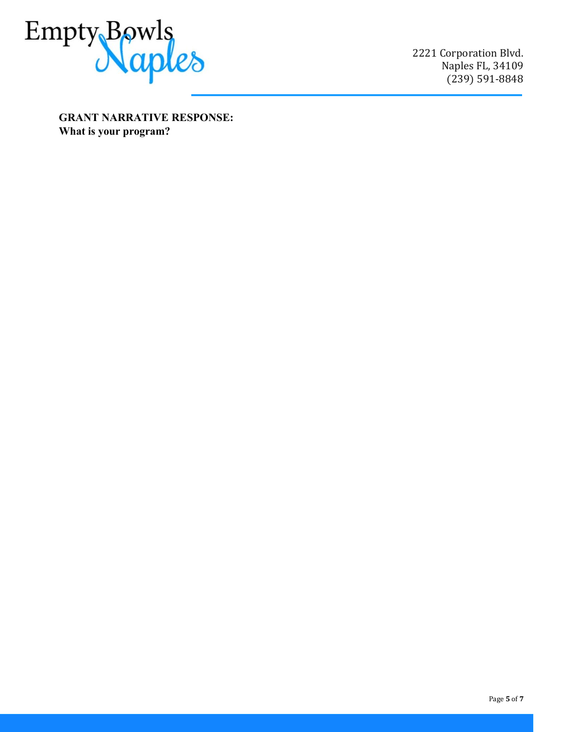

2221 Corporation Blvd. Naples FL, 34109 (239) 591-8848

**GRANT NARRATIVE RESPONSE: What is your program?**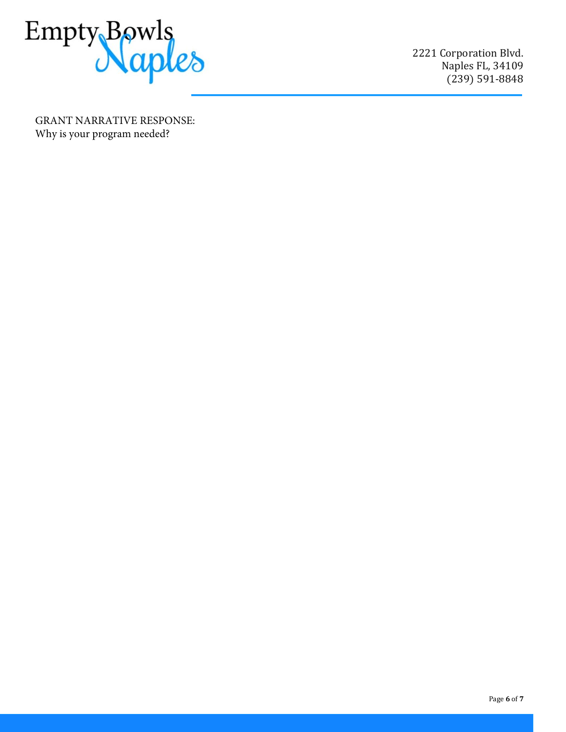

2221 Corporation Blvd. Naples FL, 34109 (239) 591-8848

GRANT NARRATIVE RESPONSE: Why is your program needed?